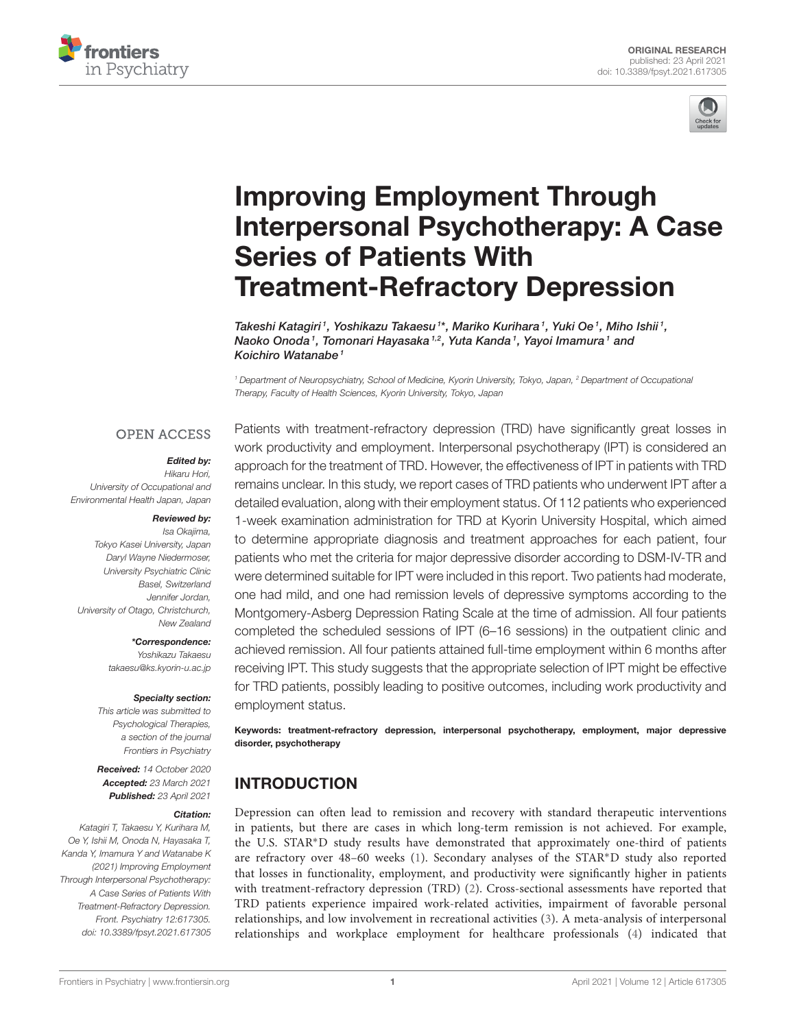



# Improving Employment Through [Interpersonal Psychotherapy: A Case](https://www.frontiersin.org/articles/10.3389/fpsyt.2021.617305/full) Series of Patients With Treatment-Refractory Depression

Takeshi Katagiri <sup>1</sup>, Yoshikazu Takaesu <sup>1</sup>\*, Mariko Kurihara <sup>1</sup>, Yuki Oe <sup>1</sup>, Miho Ishii <sup>1</sup>, Naoko Onoda1, Tomonari Hayasaka1,2, Yuta Kanda1, Yayoi Imamura1 and Koichiro Watanabe<sup>1</sup>

*<sup>1</sup> Department of Neuropsychiatry, School of Medicine, Kyorin University, Tokyo, Japan, <sup>2</sup> Department of Occupational Therapy, Faculty of Health Sciences, Kyorin University, Tokyo, Japan*

#### **OPEN ACCESS**

#### Edited by:

*Hikaru Hori, University of Occupational and Environmental Health Japan, Japan*

#### Reviewed by:

*Isa Okajima, Tokyo Kasei University, Japan Daryl Wayne Niedermoser, University Psychiatric Clinic Basel, Switzerland Jennifer Jordan, University of Otago, Christchurch, New Zealand*

> \*Correspondence: *Yoshikazu Takaesu [takaesu@ks.kyorin-u.ac.jp](mailto:takaesu@ks.kyorin-u.ac.jp)*

#### Specialty section:

*This article was submitted to Psychological Therapies, a section of the journal Frontiers in Psychiatry*

Received: *14 October 2020* Accepted: *23 March 2021* Published: *23 April 2021*

#### Citation:

*Katagiri T, Takaesu Y, Kurihara M, Oe Y, Ishii M, Onoda N, Hayasaka T, Kanda Y, Imamura Y and Watanabe K (2021) Improving Employment Through Interpersonal Psychotherapy: A Case Series of Patients With Treatment-Refractory Depression. Front. Psychiatry 12:617305. doi: [10.3389/fpsyt.2021.617305](https://doi.org/10.3389/fpsyt.2021.617305)* Patients with treatment-refractory depression (TRD) have significantly great losses in work productivity and employment. Interpersonal psychotherapy (IPT) is considered an approach for the treatment of TRD. However, the effectiveness of IPT in patients with TRD remains unclear. In this study, we report cases of TRD patients who underwent IPT after a detailed evaluation, along with their employment status. Of 112 patients who experienced 1-week examination administration for TRD at Kyorin University Hospital, which aimed to determine appropriate diagnosis and treatment approaches for each patient, four patients who met the criteria for major depressive disorder according to DSM-IV-TR and were determined suitable for IPT were included in this report. Two patients had moderate, one had mild, and one had remission levels of depressive symptoms according to the Montgomery-Asberg Depression Rating Scale at the time of admission. All four patients completed the scheduled sessions of IPT (6–16 sessions) in the outpatient clinic and achieved remission. All four patients attained full-time employment within 6 months after receiving IPT. This study suggests that the appropriate selection of IPT might be effective for TRD patients, possibly leading to positive outcomes, including work productivity and employment status.

Keywords: treatment-refractory depression, interpersonal psychotherapy, employment, major depressive disorder, psychotherapy

# INTRODUCTION

Depression can often lead to remission and recovery with standard therapeutic interventions in patients, but there are cases in which long-term remission is not achieved. For example, the U.S. STAR∗D study results have demonstrated that approximately one-third of patients are refractory over 48–60 weeks [\(1\)](#page-8-0). Secondary analyses of the STAR∗D study also reported that losses in functionality, employment, and productivity were significantly higher in patients with treatment-refractory depression (TRD) [\(2\)](#page-8-1). Cross-sectional assessments have reported that TRD patients experience impaired work-related activities, impairment of favorable personal relationships, and low involvement in recreational activities [\(3\)](#page-8-2). A meta-analysis of interpersonal relationships and workplace employment for healthcare professionals [\(4\)](#page-8-3) indicated that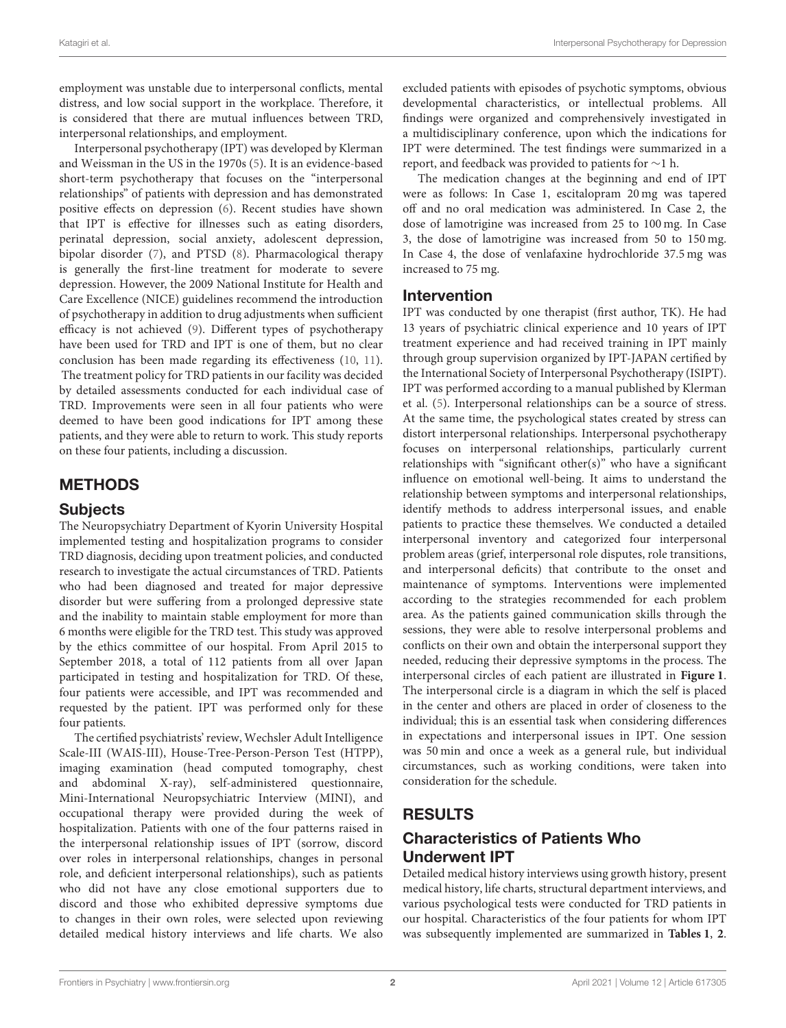employment was unstable due to interpersonal conflicts, mental distress, and low social support in the workplace. Therefore, it is considered that there are mutual influences between TRD, interpersonal relationships, and employment.

Interpersonal psychotherapy (IPT) was developed by Klerman and Weissman in the US in the 1970s [\(5\)](#page-8-4). It is an evidence-based short-term psychotherapy that focuses on the "interpersonal relationships" of patients with depression and has demonstrated positive effects on depression [\(6\)](#page-8-5). Recent studies have shown that IPT is effective for illnesses such as eating disorders, perinatal depression, social anxiety, adolescent depression, bipolar disorder [\(7\)](#page-8-6), and PTSD [\(8\)](#page-8-7). Pharmacological therapy is generally the first-line treatment for moderate to severe depression. However, the 2009 National Institute for Health and Care Excellence (NICE) guidelines recommend the introduction of psychotherapy in addition to drug adjustments when sufficient efficacy is not achieved [\(9\)](#page-8-8). Different types of psychotherapy have been used for TRD and IPT is one of them, but no clear conclusion has been made regarding its effectiveness [\(10,](#page-8-9) [11\)](#page-8-10). The treatment policy for TRD patients in our facility was decided by detailed assessments conducted for each individual case of TRD. Improvements were seen in all four patients who were deemed to have been good indications for IPT among these patients, and they were able to return to work. This study reports on these four patients, including a discussion.

# METHODS

### **Subjects**

The Neuropsychiatry Department of Kyorin University Hospital implemented testing and hospitalization programs to consider TRD diagnosis, deciding upon treatment policies, and conducted research to investigate the actual circumstances of TRD. Patients who had been diagnosed and treated for major depressive disorder but were suffering from a prolonged depressive state and the inability to maintain stable employment for more than 6 months were eligible for the TRD test. This study was approved by the ethics committee of our hospital. From April 2015 to September 2018, a total of 112 patients from all over Japan participated in testing and hospitalization for TRD. Of these, four patients were accessible, and IPT was recommended and requested by the patient. IPT was performed only for these four patients.

The certified psychiatrists' review, Wechsler Adult Intelligence Scale-III (WAIS-III), House-Tree-Person-Person Test (HTPP), imaging examination (head computed tomography, chest and abdominal X-ray), self-administered questionnaire, Mini-International Neuropsychiatric Interview (MINI), and occupational therapy were provided during the week of hospitalization. Patients with one of the four patterns raised in the interpersonal relationship issues of IPT (sorrow, discord over roles in interpersonal relationships, changes in personal role, and deficient interpersonal relationships), such as patients who did not have any close emotional supporters due to discord and those who exhibited depressive symptoms due to changes in their own roles, were selected upon reviewing detailed medical history interviews and life charts. We also excluded patients with episodes of psychotic symptoms, obvious developmental characteristics, or intellectual problems. All findings were organized and comprehensively investigated in a multidisciplinary conference, upon which the indications for IPT were determined. The test findings were summarized in a report, and feedback was provided to patients for ∼1 h.

The medication changes at the beginning and end of IPT were as follows: In Case 1, escitalopram 20 mg was tapered off and no oral medication was administered. In Case 2, the dose of lamotrigine was increased from 25 to 100 mg. In Case 3, the dose of lamotrigine was increased from 50 to 150 mg. In Case 4, the dose of venlafaxine hydrochloride 37.5 mg was increased to 75 mg.

### Intervention

IPT was conducted by one therapist (first author, TK). He had 13 years of psychiatric clinical experience and 10 years of IPT treatment experience and had received training in IPT mainly through group supervision organized by IPT-JAPAN certified by the International Society of Interpersonal Psychotherapy (ISIPT). IPT was performed according to a manual published by Klerman et al. [\(5\)](#page-8-4). Interpersonal relationships can be a source of stress. At the same time, the psychological states created by stress can distort interpersonal relationships. Interpersonal psychotherapy focuses on interpersonal relationships, particularly current relationships with "significant other(s)" who have a significant influence on emotional well-being. It aims to understand the relationship between symptoms and interpersonal relationships, identify methods to address interpersonal issues, and enable patients to practice these themselves. We conducted a detailed interpersonal inventory and categorized four interpersonal problem areas (grief, interpersonal role disputes, role transitions, and interpersonal deficits) that contribute to the onset and maintenance of symptoms. Interventions were implemented according to the strategies recommended for each problem area. As the patients gained communication skills through the sessions, they were able to resolve interpersonal problems and conflicts on their own and obtain the interpersonal support they needed, reducing their depressive symptoms in the process. The interpersonal circles of each patient are illustrated in **[Figure 1](#page-2-0)**. The interpersonal circle is a diagram in which the self is placed in the center and others are placed in order of closeness to the individual; this is an essential task when considering differences in expectations and interpersonal issues in IPT. One session was 50 min and once a week as a general rule, but individual circumstances, such as working conditions, were taken into consideration for the schedule.

# RESULTS

# Characteristics of Patients Who Underwent IPT

Detailed medical history interviews using growth history, present medical history, life charts, structural department interviews, and various psychological tests were conducted for TRD patients in our hospital. Characteristics of the four patients for whom IPT was subsequently implemented are summarized in **[Tables 1](#page-3-0)**, **[2](#page-4-0)**.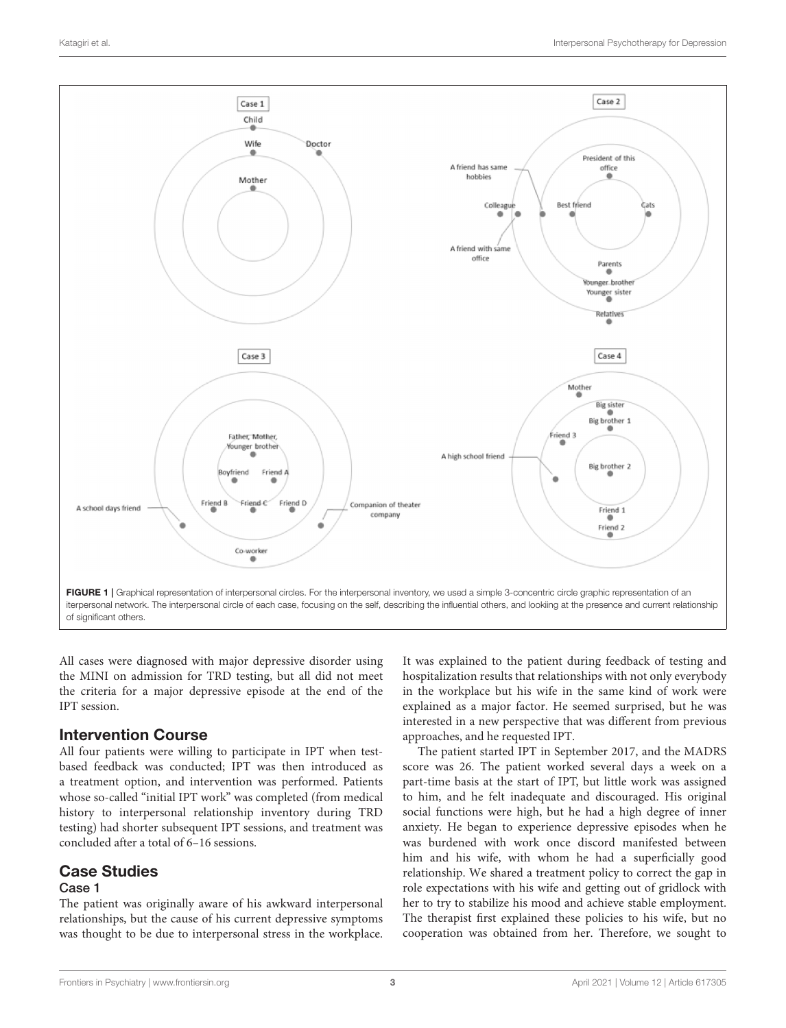

<span id="page-2-0"></span>All cases were diagnosed with major depressive disorder using the MINI on admission for TRD testing, but all did not meet the criteria for a major depressive episode at the end of the IPT session.

### Intervention Course

All four patients were willing to participate in IPT when testbased feedback was conducted; IPT was then introduced as a treatment option, and intervention was performed. Patients whose so-called "initial IPT work" was completed (from medical history to interpersonal relationship inventory during TRD testing) had shorter subsequent IPT sessions, and treatment was concluded after a total of 6–16 sessions.

# Case Studies

### Case 1

The patient was originally aware of his awkward interpersonal relationships, but the cause of his current depressive symptoms was thought to be due to interpersonal stress in the workplace. It was explained to the patient during feedback of testing and hospitalization results that relationships with not only everybody in the workplace but his wife in the same kind of work were explained as a major factor. He seemed surprised, but he was interested in a new perspective that was different from previous approaches, and he requested IPT.

The patient started IPT in September 2017, and the MADRS score was 26. The patient worked several days a week on a part-time basis at the start of IPT, but little work was assigned to him, and he felt inadequate and discouraged. His original social functions were high, but he had a high degree of inner anxiety. He began to experience depressive episodes when he was burdened with work once discord manifested between him and his wife, with whom he had a superficially good relationship. We shared a treatment policy to correct the gap in role expectations with his wife and getting out of gridlock with her to try to stabilize his mood and achieve stable employment. The therapist first explained these policies to his wife, but no cooperation was obtained from her. Therefore, we sought to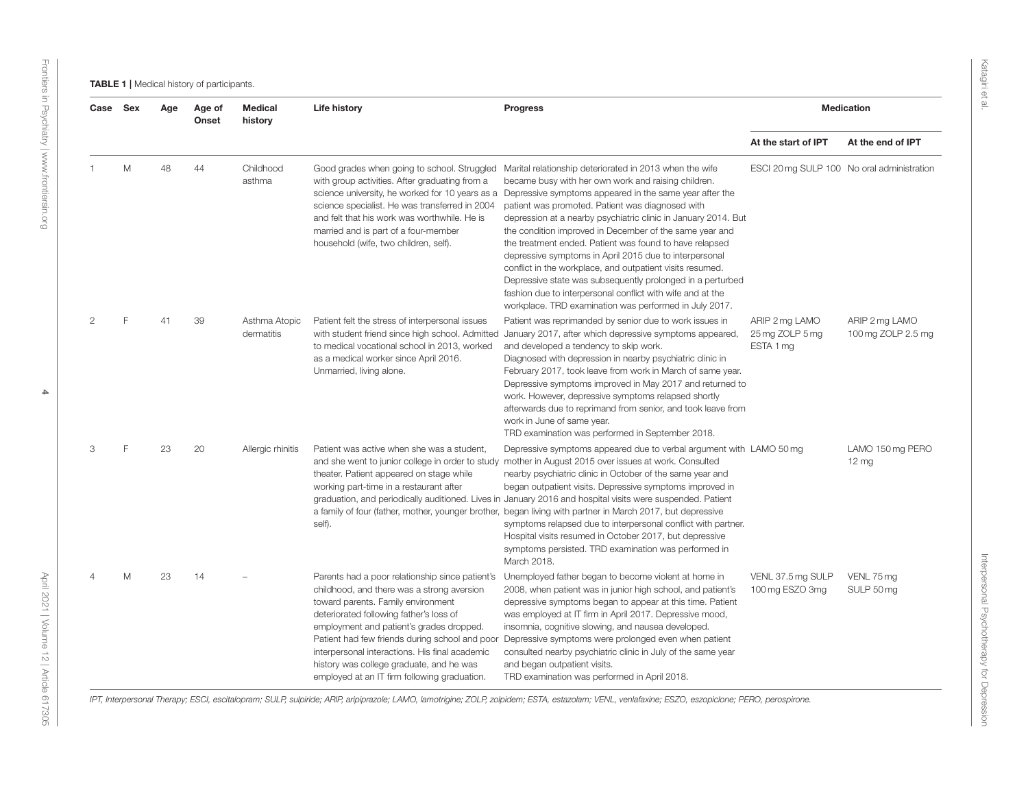Katagiri et al.

<span id="page-3-0"></span>

| Case Sex |   | Age | Age of<br>Onset | <b>Medical</b><br>history   | <b>Life history</b>                                                                                                                                                                                                                                                                                                                                                                                                        | <b>Progress</b>                                                                                                                                                                                                                                                                                                                                                                                                                                                                                                                                                                                                                                                                                                                                                                    | <b>Medication</b>                              |                                      |
|----------|---|-----|-----------------|-----------------------------|----------------------------------------------------------------------------------------------------------------------------------------------------------------------------------------------------------------------------------------------------------------------------------------------------------------------------------------------------------------------------------------------------------------------------|------------------------------------------------------------------------------------------------------------------------------------------------------------------------------------------------------------------------------------------------------------------------------------------------------------------------------------------------------------------------------------------------------------------------------------------------------------------------------------------------------------------------------------------------------------------------------------------------------------------------------------------------------------------------------------------------------------------------------------------------------------------------------------|------------------------------------------------|--------------------------------------|
|          |   |     |                 |                             |                                                                                                                                                                                                                                                                                                                                                                                                                            |                                                                                                                                                                                                                                                                                                                                                                                                                                                                                                                                                                                                                                                                                                                                                                                    | At the start of IPT                            | At the end of IPT                    |
|          | M | 48  | 44              | Childhood<br>asthma         | Good grades when going to school. Struggled<br>with group activities. After graduating from a<br>science specialist. He was transferred in 2004<br>and felt that his work was worthwhile. He is<br>married and is part of a four-member<br>household (wife, two children, self).                                                                                                                                           | Marital relationship deteriorated in 2013 when the wife<br>became busy with her own work and raising children.<br>science university, he worked for 10 years as a Depressive symptoms appeared in the same year after the<br>patient was promoted. Patient was diagnosed with<br>depression at a nearby psychiatric clinic in January 2014. But<br>the condition improved in December of the same year and<br>the treatment ended. Patient was found to have relapsed<br>depressive symptoms in April 2015 due to interpersonal<br>conflict in the workplace, and outpatient visits resumed.<br>Depressive state was subsequently prolonged in a perturbed<br>fashion due to interpersonal conflict with wife and at the<br>workplace. TRD examination was performed in July 2017. | ESCI 20 mg SULP 100 No oral administration     |                                      |
|          |   | 41  | 39              | Asthma Atopic<br>dermatitis | Patient felt the stress of interpersonal issues<br>with student friend since high school. Admitted<br>to medical vocational school in 2013, worked<br>as a medical worker since April 2016.<br>Unmarried, living alone.                                                                                                                                                                                                    | Patient was reprimanded by senior due to work issues in<br>January 2017, after which depressive symptoms appeared,<br>and developed a tendency to skip work.<br>Diagnosed with depression in nearby psychiatric clinic in<br>February 2017, took leave from work in March of same year.<br>Depressive symptoms improved in May 2017 and returned to<br>work. However, depressive symptoms relapsed shortly<br>afterwards due to reprimand from senior, and took leave from<br>work in June of same year.<br>TRD examination was performed in September 2018.                                                                                                                                                                                                                       | ARIP 2 mg LAMO<br>25 mg ZOLP 5 mg<br>ESTA 1 mg | ARIP 2 mg LAMO<br>100 mg ZOLP 2.5 mg |
| 3        | F | 23  | 20              | Allergic rhinitis           | Patient was active when she was a student,<br>theater. Patient appeared on stage while<br>working part-time in a restaurant after<br>self).                                                                                                                                                                                                                                                                                | Depressive symptoms appeared due to verbal argument with LAMO 50 mg<br>and she went to junior college in order to study mother in August 2015 over issues at work. Consulted<br>nearby psychiatric clinic in October of the same year and<br>began outpatient visits. Depressive symptoms improved in<br>graduation, and periodically auditioned. Lives in January 2016 and hospital visits were suspended. Patient<br>a family of four (father, mother, younger brother, began living with partner in March 2017, but depressive<br>symptoms relapsed due to interpersonal conflict with partner.<br>Hospital visits resumed in October 2017, but depressive<br>symptoms persisted. TRD examination was performed in<br>March 2018.                                               |                                                | LAMO 150 mg PERO<br>$12 \text{ mg}$  |
|          | M | 23  | 14              |                             | Parents had a poor relationship since patient's<br>childhood, and there was a strong aversion<br>toward parents. Family environment<br>deteriorated following father's loss of<br>employment and patient's grades dropped.<br>Patient had few friends during school and poor<br>interpersonal interactions. His final academic<br>history was college graduate, and he was<br>employed at an IT firm following graduation. | Unemployed father began to become violent at home in<br>2008, when patient was in junior high school, and patient's<br>depressive symptoms began to appear at this time. Patient<br>was employed at IT firm in April 2017. Depressive mood,<br>insomnia, cognitive slowing, and nausea developed.<br>Depressive symptoms were prolonged even when patient<br>consulted nearby psychiatric clinic in July of the same year<br>and began outpatient visits.<br>TRD examination was performed in April 2018.                                                                                                                                                                                                                                                                          | VENL 37.5 mg SULP<br>100 mg ESZO 3mg           | VENL 75 mg<br>SULP 50 mg             |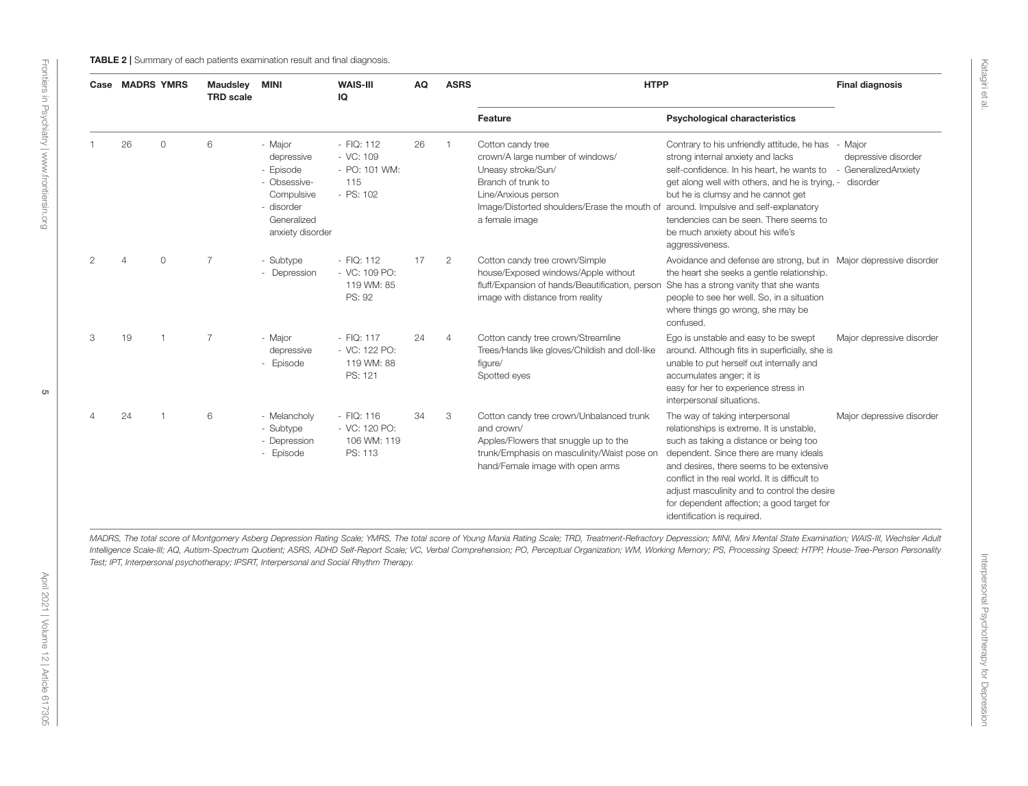<span id="page-4-0"></span>

|               | Case MADRS YMRS |                | <b>Maudsley</b><br><b>TRD</b> scale | <b>MINI</b>                                                                                                       | <b>WAIS-III</b><br>IQ                                              | AQ | <b>ASRS</b>    | <b>HTPP</b>                                                                                                                                                                                         |                                                                                                                                                                                                                                                                                                                                                                                             | <b>Final diagnosis</b>                                  |
|---------------|-----------------|----------------|-------------------------------------|-------------------------------------------------------------------------------------------------------------------|--------------------------------------------------------------------|----|----------------|-----------------------------------------------------------------------------------------------------------------------------------------------------------------------------------------------------|---------------------------------------------------------------------------------------------------------------------------------------------------------------------------------------------------------------------------------------------------------------------------------------------------------------------------------------------------------------------------------------------|---------------------------------------------------------|
|               |                 |                |                                     |                                                                                                                   |                                                                    |    |                | Feature                                                                                                                                                                                             | <b>Psychological characteristics</b>                                                                                                                                                                                                                                                                                                                                                        |                                                         |
|               | 26              | $\circ$        | 6                                   | - Major<br>depressive<br>- Episode<br>- Obsessive-<br>Compulsive<br>- disorder<br>Generalized<br>anxiety disorder | $-$ FIQ: 112<br>$-$ VC: 109<br>- PO: 101 WM:<br>115<br>$-$ PS: 102 | 26 | $\overline{1}$ | Cotton candy tree<br>crown/A large number of windows/<br>Uneasy stroke/Sun/<br>Branch of trunk to<br>Line/Anxious person<br>Image/Distorted shoulders/Erase the mouth of<br>a female image          | Contrary to his unfriendly attitude, he has - Major<br>strong internal anxiety and lacks<br>self-confidence. In his heart, he wants to<br>get along well with others, and he is trying, -<br>but he is clumsy and he cannot get<br>around. Impulsive and self-explanatory<br>tendencies can be seen. There seems to<br>be much anxiety about his wife's<br>aggressiveness.                  | depressive disorder<br>- GeneralizedAnxiety<br>disorder |
| $\mathcal{P}$ | $\overline{4}$  | $\circ$        | $\overline{7}$                      | - Subtype<br>- Depression                                                                                         | $-$ FIQ: 112<br>- VC: 109 PO:<br>119 WM: 85<br>PS: 92              | 17 | $\overline{2}$ | Cotton candy tree crown/Simple<br>house/Exposed windows/Apple without<br>fluff/Expansion of hands/Beautification, person She has a strong vanity that she wants<br>image with distance from reality | Avoidance and defense are strong, but in Major depressive disorder<br>the heart she seeks a gentle relationship.<br>people to see her well. So, in a situation<br>where things go wrong, she may be<br>confused.                                                                                                                                                                            |                                                         |
| 3             | 19              |                | $\overline{7}$                      | - Major<br>depressive<br>- Episode                                                                                | $-$ FIQ: 117<br>- VC: 122 PO:<br>119 WM: 88<br>PS: 121             | 24 | $\overline{4}$ | Cotton candy tree crown/Streamline<br>Trees/Hands like gloves/Childish and doll-like<br>figure/<br>Spotted eyes                                                                                     | Ego is unstable and easy to be swept<br>around. Although fits in superficially, she is<br>unable to put herself out internally and<br>accumulates anger; it is<br>easy for her to experience stress in<br>interpersonal situations.                                                                                                                                                         | Major depressive disorder                               |
|               | 24              | $\overline{1}$ | 6                                   | - Melancholy<br>- Subtype<br>- Depression<br>- Episode                                                            | $-$ FIQ: 116<br>- VC: 120 PO:<br>106 WM: 119<br>PS: 113            | 34 | 3              | Cotton candy tree crown/Unbalanced trunk<br>and crown/<br>Apples/Flowers that snuggle up to the<br>trunk/Emphasis on masculinity/Waist pose on<br>hand/Female image with open arms                  | The way of taking interpersonal<br>relationships is extreme. It is unstable,<br>such as taking a distance or being too<br>dependent. Since there are many ideals<br>and desires, there seems to be extensive<br>conflict in the real world. It is difficult to<br>adjust masculinity and to control the desire<br>for dependent affection; a good target for<br>identification is required. | Major depressive disorder                               |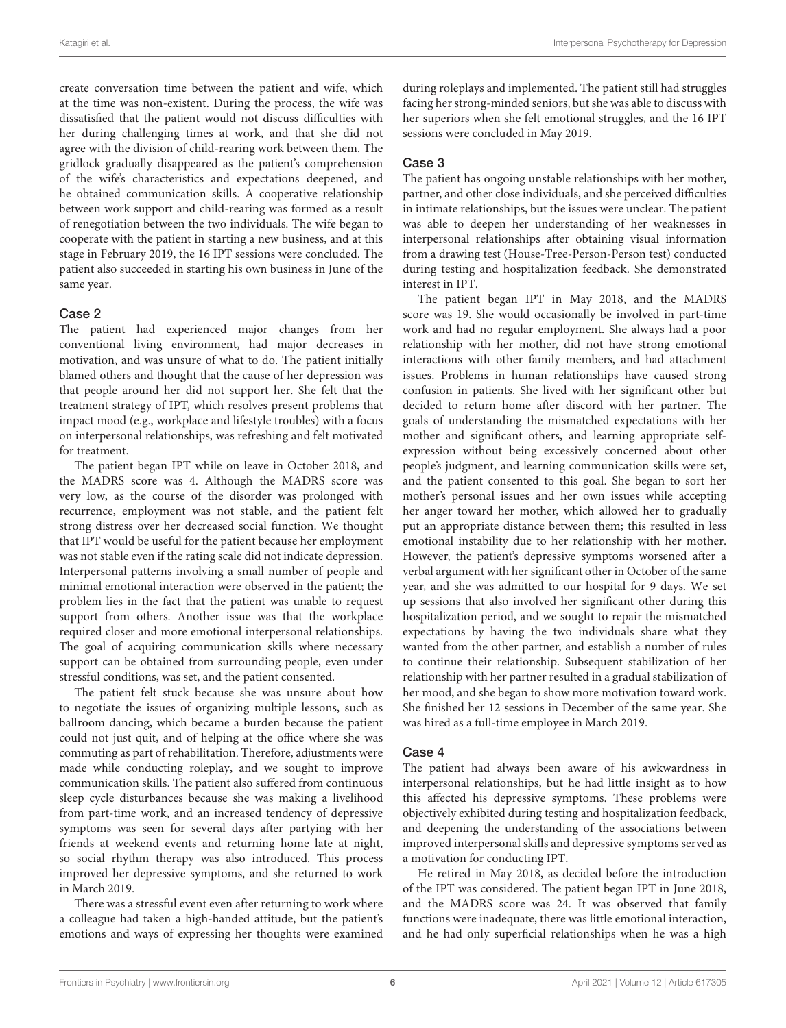create conversation time between the patient and wife, which at the time was non-existent. During the process, the wife was dissatisfied that the patient would not discuss difficulties with her during challenging times at work, and that she did not agree with the division of child-rearing work between them. The gridlock gradually disappeared as the patient's comprehension of the wife's characteristics and expectations deepened, and he obtained communication skills. A cooperative relationship between work support and child-rearing was formed as a result of renegotiation between the two individuals. The wife began to cooperate with the patient in starting a new business, and at this stage in February 2019, the 16 IPT sessions were concluded. The patient also succeeded in starting his own business in June of the same year.

#### Case 2

The patient had experienced major changes from her conventional living environment, had major decreases in motivation, and was unsure of what to do. The patient initially blamed others and thought that the cause of her depression was that people around her did not support her. She felt that the treatment strategy of IPT, which resolves present problems that impact mood (e.g., workplace and lifestyle troubles) with a focus on interpersonal relationships, was refreshing and felt motivated for treatment.

The patient began IPT while on leave in October 2018, and the MADRS score was 4. Although the MADRS score was very low, as the course of the disorder was prolonged with recurrence, employment was not stable, and the patient felt strong distress over her decreased social function. We thought that IPT would be useful for the patient because her employment was not stable even if the rating scale did not indicate depression. Interpersonal patterns involving a small number of people and minimal emotional interaction were observed in the patient; the problem lies in the fact that the patient was unable to request support from others. Another issue was that the workplace required closer and more emotional interpersonal relationships. The goal of acquiring communication skills where necessary support can be obtained from surrounding people, even under stressful conditions, was set, and the patient consented.

The patient felt stuck because she was unsure about how to negotiate the issues of organizing multiple lessons, such as ballroom dancing, which became a burden because the patient could not just quit, and of helping at the office where she was commuting as part of rehabilitation. Therefore, adjustments were made while conducting roleplay, and we sought to improve communication skills. The patient also suffered from continuous sleep cycle disturbances because she was making a livelihood from part-time work, and an increased tendency of depressive symptoms was seen for several days after partying with her friends at weekend events and returning home late at night, so social rhythm therapy was also introduced. This process improved her depressive symptoms, and she returned to work in March 2019.

There was a stressful event even after returning to work where a colleague had taken a high-handed attitude, but the patient's emotions and ways of expressing her thoughts were examined during roleplays and implemented. The patient still had struggles facing her strong-minded seniors, but she was able to discuss with her superiors when she felt emotional struggles, and the 16 IPT sessions were concluded in May 2019.

### Case 3

The patient has ongoing unstable relationships with her mother, partner, and other close individuals, and she perceived difficulties in intimate relationships, but the issues were unclear. The patient was able to deepen her understanding of her weaknesses in interpersonal relationships after obtaining visual information from a drawing test (House-Tree-Person-Person test) conducted during testing and hospitalization feedback. She demonstrated interest in IPT.

The patient began IPT in May 2018, and the MADRS score was 19. She would occasionally be involved in part-time work and had no regular employment. She always had a poor relationship with her mother, did not have strong emotional interactions with other family members, and had attachment issues. Problems in human relationships have caused strong confusion in patients. She lived with her significant other but decided to return home after discord with her partner. The goals of understanding the mismatched expectations with her mother and significant others, and learning appropriate selfexpression without being excessively concerned about other people's judgment, and learning communication skills were set, and the patient consented to this goal. She began to sort her mother's personal issues and her own issues while accepting her anger toward her mother, which allowed her to gradually put an appropriate distance between them; this resulted in less emotional instability due to her relationship with her mother. However, the patient's depressive symptoms worsened after a verbal argument with her significant other in October of the same year, and she was admitted to our hospital for 9 days. We set up sessions that also involved her significant other during this hospitalization period, and we sought to repair the mismatched expectations by having the two individuals share what they wanted from the other partner, and establish a number of rules to continue their relationship. Subsequent stabilization of her relationship with her partner resulted in a gradual stabilization of her mood, and she began to show more motivation toward work. She finished her 12 sessions in December of the same year. She was hired as a full-time employee in March 2019.

### Case 4

The patient had always been aware of his awkwardness in interpersonal relationships, but he had little insight as to how this affected his depressive symptoms. These problems were objectively exhibited during testing and hospitalization feedback, and deepening the understanding of the associations between improved interpersonal skills and depressive symptoms served as a motivation for conducting IPT.

He retired in May 2018, as decided before the introduction of the IPT was considered. The patient began IPT in June 2018, and the MADRS score was 24. It was observed that family functions were inadequate, there was little emotional interaction, and he had only superficial relationships when he was a high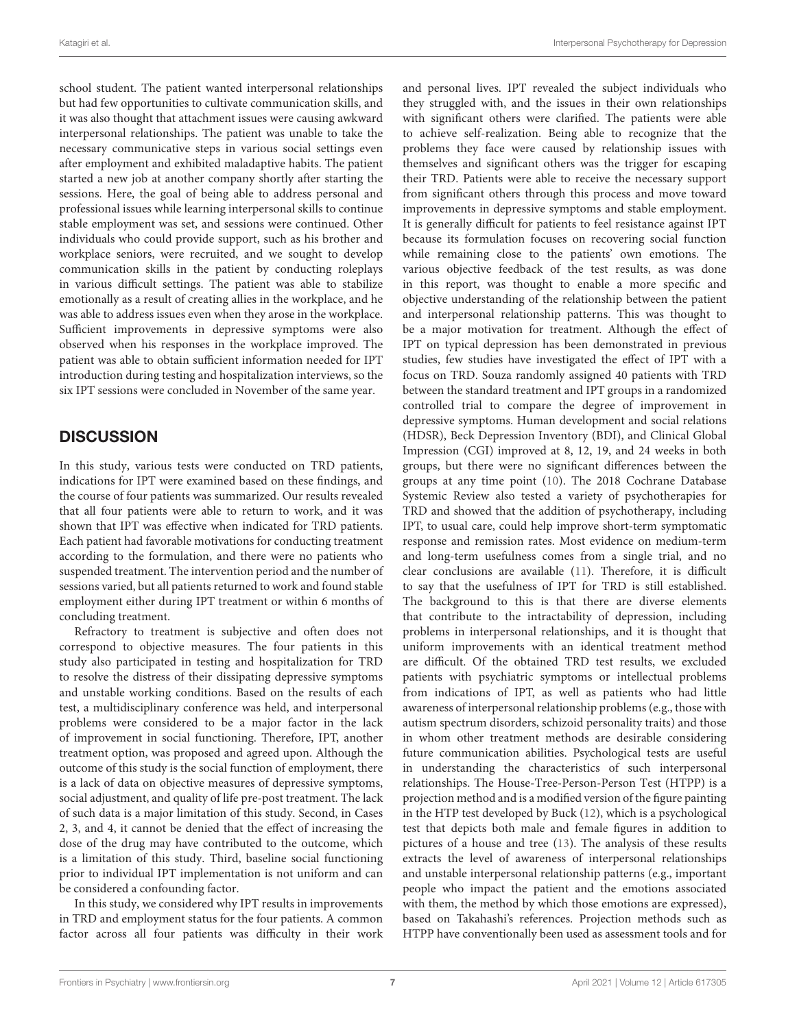school student. The patient wanted interpersonal relationships but had few opportunities to cultivate communication skills, and it was also thought that attachment issues were causing awkward interpersonal relationships. The patient was unable to take the necessary communicative steps in various social settings even after employment and exhibited maladaptive habits. The patient started a new job at another company shortly after starting the sessions. Here, the goal of being able to address personal and professional issues while learning interpersonal skills to continue stable employment was set, and sessions were continued. Other individuals who could provide support, such as his brother and workplace seniors, were recruited, and we sought to develop communication skills in the patient by conducting roleplays in various difficult settings. The patient was able to stabilize emotionally as a result of creating allies in the workplace, and he was able to address issues even when they arose in the workplace. Sufficient improvements in depressive symptoms were also observed when his responses in the workplace improved. The patient was able to obtain sufficient information needed for IPT introduction during testing and hospitalization interviews, so the six IPT sessions were concluded in November of the same year.

# **DISCUSSION**

In this study, various tests were conducted on TRD patients, indications for IPT were examined based on these findings, and the course of four patients was summarized. Our results revealed that all four patients were able to return to work, and it was shown that IPT was effective when indicated for TRD patients. Each patient had favorable motivations for conducting treatment according to the formulation, and there were no patients who suspended treatment. The intervention period and the number of sessions varied, but all patients returned to work and found stable employment either during IPT treatment or within 6 months of concluding treatment.

Refractory to treatment is subjective and often does not correspond to objective measures. The four patients in this study also participated in testing and hospitalization for TRD to resolve the distress of their dissipating depressive symptoms and unstable working conditions. Based on the results of each test, a multidisciplinary conference was held, and interpersonal problems were considered to be a major factor in the lack of improvement in social functioning. Therefore, IPT, another treatment option, was proposed and agreed upon. Although the outcome of this study is the social function of employment, there is a lack of data on objective measures of depressive symptoms, social adjustment, and quality of life pre-post treatment. The lack of such data is a major limitation of this study. Second, in Cases 2, 3, and 4, it cannot be denied that the effect of increasing the dose of the drug may have contributed to the outcome, which is a limitation of this study. Third, baseline social functioning prior to individual IPT implementation is not uniform and can be considered a confounding factor.

In this study, we considered why IPT results in improvements in TRD and employment status for the four patients. A common factor across all four patients was difficulty in their work and personal lives. IPT revealed the subject individuals who they struggled with, and the issues in their own relationships with significant others were clarified. The patients were able to achieve self-realization. Being able to recognize that the problems they face were caused by relationship issues with themselves and significant others was the trigger for escaping their TRD. Patients were able to receive the necessary support from significant others through this process and move toward improvements in depressive symptoms and stable employment. It is generally difficult for patients to feel resistance against IPT because its formulation focuses on recovering social function while remaining close to the patients' own emotions. The various objective feedback of the test results, as was done in this report, was thought to enable a more specific and objective understanding of the relationship between the patient and interpersonal relationship patterns. This was thought to be a major motivation for treatment. Although the effect of IPT on typical depression has been demonstrated in previous studies, few studies have investigated the effect of IPT with a focus on TRD. Souza randomly assigned 40 patients with TRD between the standard treatment and IPT groups in a randomized controlled trial to compare the degree of improvement in depressive symptoms. Human development and social relations (HDSR), Beck Depression Inventory (BDI), and Clinical Global Impression (CGI) improved at 8, 12, 19, and 24 weeks in both groups, but there were no significant differences between the groups at any time point [\(10\)](#page-8-9). The 2018 Cochrane Database Systemic Review also tested a variety of psychotherapies for TRD and showed that the addition of psychotherapy, including IPT, to usual care, could help improve short-term symptomatic response and remission rates. Most evidence on medium-term and long-term usefulness comes from a single trial, and no clear conclusions are available [\(11\)](#page-8-10). Therefore, it is difficult to say that the usefulness of IPT for TRD is still established. The background to this is that there are diverse elements that contribute to the intractability of depression, including problems in interpersonal relationships, and it is thought that uniform improvements with an identical treatment method are difficult. Of the obtained TRD test results, we excluded patients with psychiatric symptoms or intellectual problems from indications of IPT, as well as patients who had little awareness of interpersonal relationship problems (e.g., those with autism spectrum disorders, schizoid personality traits) and those in whom other treatment methods are desirable considering future communication abilities. Psychological tests are useful in understanding the characteristics of such interpersonal relationships. The House-Tree-Person-Person Test (HTPP) is a projection method and is a modified version of the figure painting in the HTP test developed by Buck [\(12\)](#page-8-11), which is a psychological test that depicts both male and female figures in addition to pictures of a house and tree [\(13\)](#page-8-12). The analysis of these results extracts the level of awareness of interpersonal relationships and unstable interpersonal relationship patterns (e.g., important people who impact the patient and the emotions associated with them, the method by which those emotions are expressed), based on Takahashi's references. Projection methods such as HTPP have conventionally been used as assessment tools and for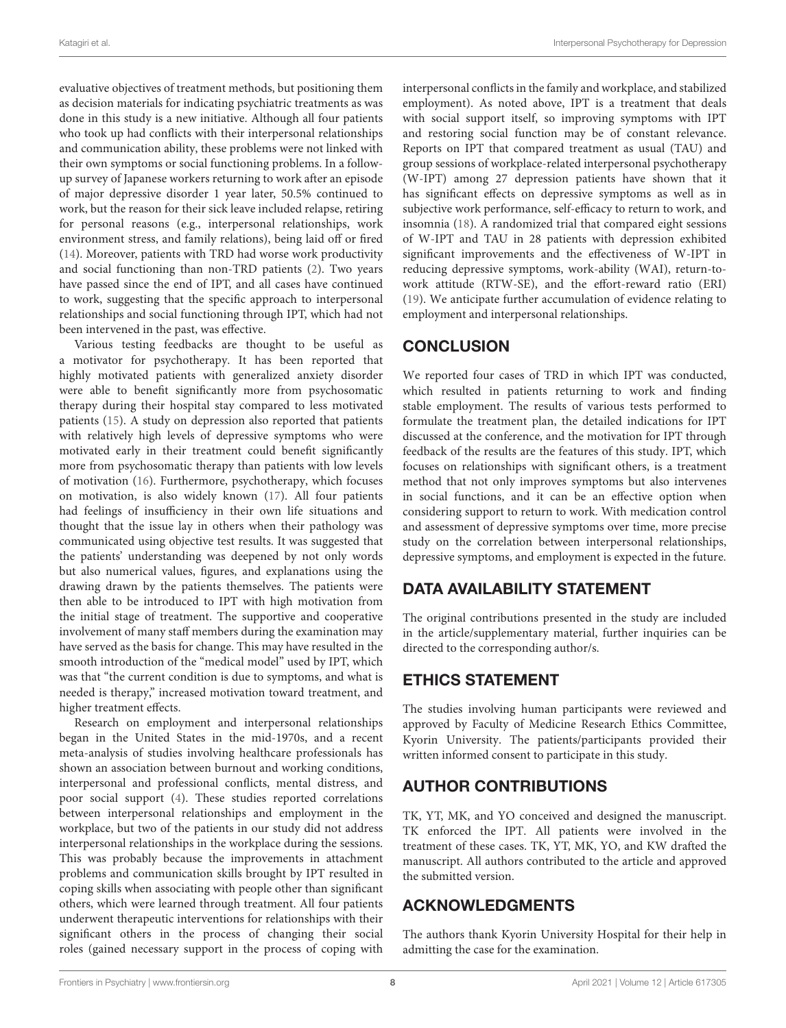evaluative objectives of treatment methods, but positioning them as decision materials for indicating psychiatric treatments as was done in this study is a new initiative. Although all four patients who took up had conflicts with their interpersonal relationships and communication ability, these problems were not linked with their own symptoms or social functioning problems. In a followup survey of Japanese workers returning to work after an episode of major depressive disorder 1 year later, 50.5% continued to work, but the reason for their sick leave included relapse, retiring for personal reasons (e.g., interpersonal relationships, work environment stress, and family relations), being laid off or fired [\(14\)](#page-8-13). Moreover, patients with TRD had worse work productivity and social functioning than non-TRD patients [\(2\)](#page-8-1). Two years have passed since the end of IPT, and all cases have continued to work, suggesting that the specific approach to interpersonal relationships and social functioning through IPT, which had not been intervened in the past, was effective.

Various testing feedbacks are thought to be useful as a motivator for psychotherapy. It has been reported that highly motivated patients with generalized anxiety disorder were able to benefit significantly more from psychosomatic therapy during their hospital stay compared to less motivated patients [\(15\)](#page-8-14). A study on depression also reported that patients with relatively high levels of depressive symptoms who were motivated early in their treatment could benefit significantly more from psychosomatic therapy than patients with low levels of motivation [\(16\)](#page-8-15). Furthermore, psychotherapy, which focuses on motivation, is also widely known [\(17\)](#page-8-16). All four patients had feelings of insufficiency in their own life situations and thought that the issue lay in others when their pathology was communicated using objective test results. It was suggested that the patients' understanding was deepened by not only words but also numerical values, figures, and explanations using the drawing drawn by the patients themselves. The patients were then able to be introduced to IPT with high motivation from the initial stage of treatment. The supportive and cooperative involvement of many staff members during the examination may have served as the basis for change. This may have resulted in the smooth introduction of the "medical model" used by IPT, which was that "the current condition is due to symptoms, and what is needed is therapy," increased motivation toward treatment, and higher treatment effects.

Research on employment and interpersonal relationships began in the United States in the mid-1970s, and a recent meta-analysis of studies involving healthcare professionals has shown an association between burnout and working conditions, interpersonal and professional conflicts, mental distress, and poor social support [\(4\)](#page-8-3). These studies reported correlations between interpersonal relationships and employment in the workplace, but two of the patients in our study did not address interpersonal relationships in the workplace during the sessions. This was probably because the improvements in attachment problems and communication skills brought by IPT resulted in coping skills when associating with people other than significant others, which were learned through treatment. All four patients underwent therapeutic interventions for relationships with their significant others in the process of changing their social roles (gained necessary support in the process of coping with interpersonal conflicts in the family and workplace, and stabilized employment). As noted above, IPT is a treatment that deals with social support itself, so improving symptoms with IPT and restoring social function may be of constant relevance. Reports on IPT that compared treatment as usual (TAU) and group sessions of workplace-related interpersonal psychotherapy (W-IPT) among 27 depression patients have shown that it has significant effects on depressive symptoms as well as in subjective work performance, self-efficacy to return to work, and insomnia [\(18\)](#page-8-17). A randomized trial that compared eight sessions of W-IPT and TAU in 28 patients with depression exhibited significant improvements and the effectiveness of W-IPT in reducing depressive symptoms, work-ability (WAI), return-towork attitude (RTW-SE), and the effort-reward ratio (ERI) [\(19\)](#page-8-18). We anticipate further accumulation of evidence relating to employment and interpersonal relationships.

# **CONCLUSION**

We reported four cases of TRD in which IPT was conducted, which resulted in patients returning to work and finding stable employment. The results of various tests performed to formulate the treatment plan, the detailed indications for IPT discussed at the conference, and the motivation for IPT through feedback of the results are the features of this study. IPT, which focuses on relationships with significant others, is a treatment method that not only improves symptoms but also intervenes in social functions, and it can be an effective option when considering support to return to work. With medication control and assessment of depressive symptoms over time, more precise study on the correlation between interpersonal relationships, depressive symptoms, and employment is expected in the future.

# DATA AVAILABILITY STATEMENT

The original contributions presented in the study are included in the article/supplementary material, further inquiries can be directed to the corresponding author/s.

# ETHICS STATEMENT

The studies involving human participants were reviewed and approved by Faculty of Medicine Research Ethics Committee, Kyorin University. The patients/participants provided their written informed consent to participate in this study.

# AUTHOR CONTRIBUTIONS

TK, YT, MK, and YO conceived and designed the manuscript. TK enforced the IPT. All patients were involved in the treatment of these cases. TK, YT, MK, YO, and KW drafted the manuscript. All authors contributed to the article and approved the submitted version.

# ACKNOWLEDGMENTS

The authors thank Kyorin University Hospital for their help in admitting the case for the examination.